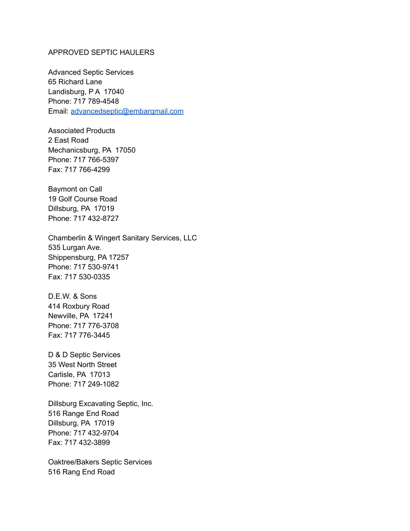## APPROVED SEPTIC HAULERS

Advanced Septic Services 65 Richard Lane Landisburg, P A 17040 Phone: 717 789-4548 Email: [advancedseptic@embarqmail.com](mailto:advancedseptic@embarqmail.com)

Associated Products 2 East Road Mechanicsburg, PA 17050 Phone: 717 766-5397 Fax: 717 766-4299

Baymont on Call 19 Golf Course Road Dillsburg, PA 17019 Phone: 717 432-8727

Chamberlin & Wingert Sanitary Services, LLC 535 Lurgan Ave. Shippensburg, PA 17257 Phone: 717 530-9741 Fax: 717 530-0335

D.E.W. & Sons 414 Roxbury Road Newville, PA 17241 Phone: 717 776-3708 Fax: 717 776-3445

D & D Septic Services 35 West North Street Carlisle, PA 17013 Phone: 717 249-1082

Dillsburg Excavating Septic, Inc. 516 Range End Road Dillsburg, PA 17019 Phone: 717 432-9704 Fax: 717 432-3899

Oaktree/Bakers Septic Services 516 Rang End Road